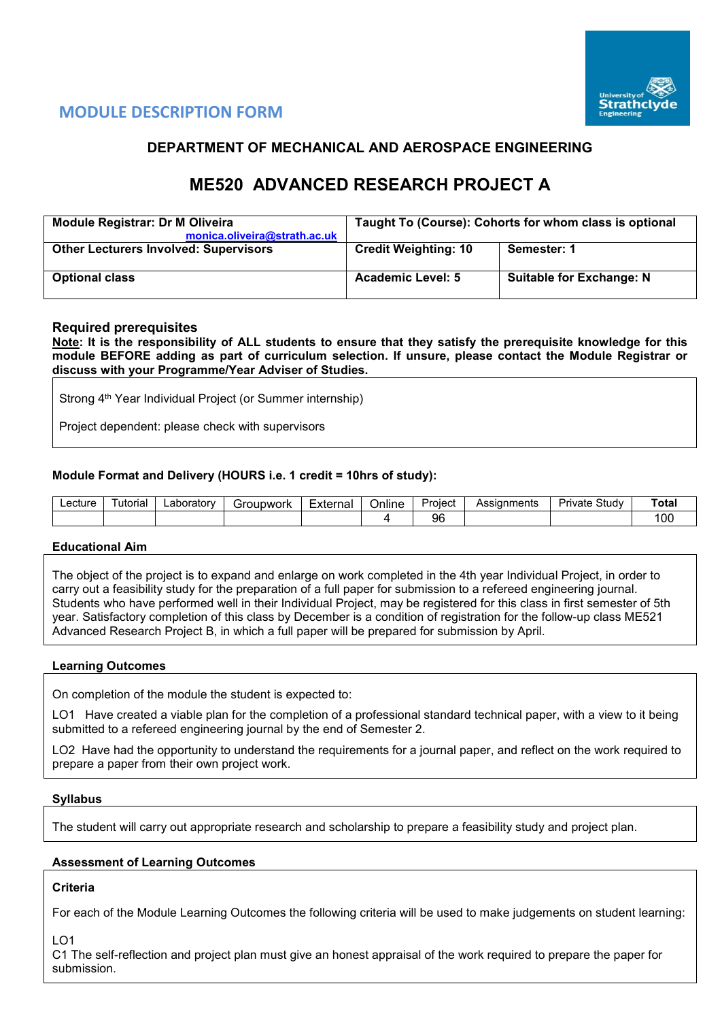

# **MODULE DESCRIPTION FORM**

## **DEPARTMENT OF MECHANICAL AND AEROSPACE ENGINEERING**

# **ME520 ADVANCED RESEARCH PROJECT A**

| <b>Module Registrar: Dr M Oliveira</b><br>monica.oliveira@strath.ac.uk | Taught To (Course): Cohorts for whom class is optional |                                 |  |  |  |  |  |
|------------------------------------------------------------------------|--------------------------------------------------------|---------------------------------|--|--|--|--|--|
| <b>Other Lecturers Involved: Supervisors</b>                           | <b>Credit Weighting: 10</b>                            | Semester: 1                     |  |  |  |  |  |
| <b>Optional class</b>                                                  | <b>Academic Level: 5</b>                               | <b>Suitable for Exchange: N</b> |  |  |  |  |  |

## **Required prerequisites**

**Note: It is the responsibility of ALL students to ensure that they satisfy the prerequisite knowledge for this module BEFORE adding as part of curriculum selection. If unsure, please contact the Module Registrar or discuss with your Programme/Year Adviser of Studies.** 

Strong 4<sup>th</sup> Year Individual Project (or Summer internship)

Project dependent: please check with supervisors

## **Module Format and Delivery (HOURS i.e. 1 credit = 10hrs of study):**

| ∟ectur∈ | utorial | _aborator∨ | iroupwork | $\overline{\phantom{0}}$<br>External | . .<br>Online | Project | Assignments | Study<br>Private | Total       |
|---------|---------|------------|-----------|--------------------------------------|---------------|---------|-------------|------------------|-------------|
|         |         |            |           |                                      |               | 96      |             |                  | م ہ<br>I UU |

## **Educational Aim**

The object of the project is to expand and enlarge on work completed in the 4th year Individual Project, in order to carry out a feasibility study for the preparation of a full paper for submission to a refereed engineering journal. Students who have performed well in their Individual Project, may be registered for this class in first semester of 5th year. Satisfactory completion of this class by December is a condition of registration for the follow-up class ME521 Advanced Research Project B, in which a full paper will be prepared for submission by April.

## **Learning Outcomes**

On completion of the module the student is expected to:

LO1 Have created a viable plan for the completion of a professional standard technical paper, with a view to it being submitted to a refereed engineering journal by the end of Semester 2.

LO2 Have had the opportunity to understand the requirements for a journal paper, and reflect on the work required to prepare a paper from their own project work.

## **Syllabus**

The student will carry out appropriate research and scholarship to prepare a feasibility study and project plan.

## **Assessment of Learning Outcomes**

## **Criteria**

For each of the Module Learning Outcomes the following criteria will be used to make judgements on student learning:

LO1

C1 The self-reflection and project plan must give an honest appraisal of the work required to prepare the paper for submission.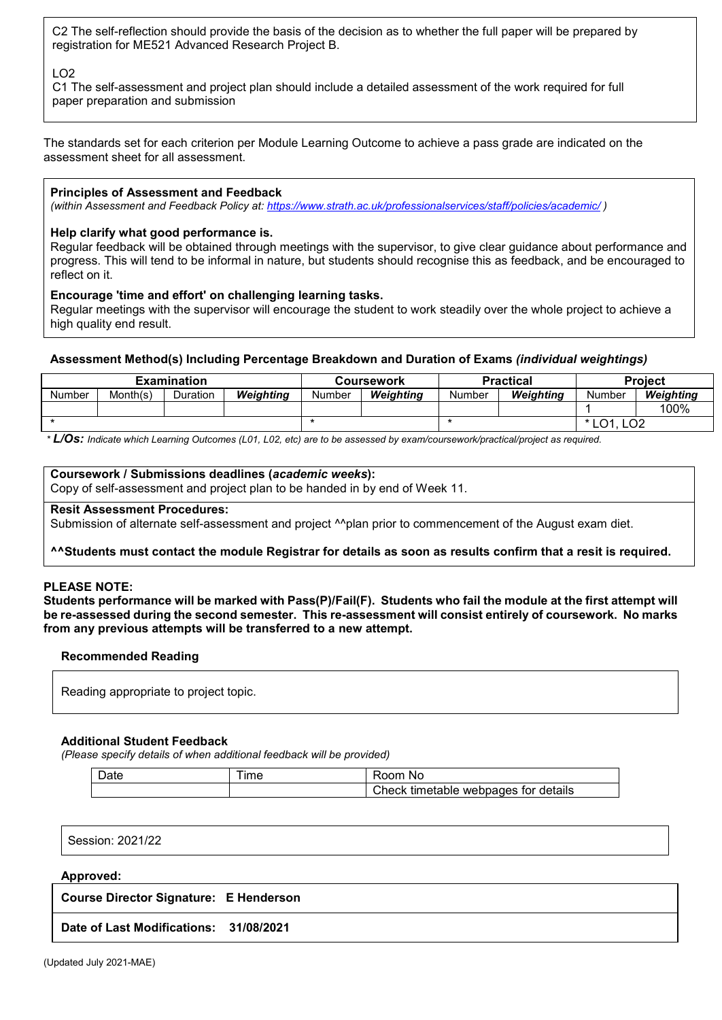C2 The self-reflection should provide the basis of the decision as to whether the full paper will be prepared by registration for ME521 Advanced Research Project B.

## LO2

C1 The self-assessment and project plan should include a detailed assessment of the work required for full paper preparation and submission

The standards set for each criterion per Module Learning Outcome to achieve a pass grade are indicated on the assessment sheet for all assessment.

## **Principles of Assessment and Feedback**

*(within Assessment and Feedback Policy at: <https://www.strath.ac.uk/professionalservices/staff/policies/academic/> )*

## **Help clarify what good performance is.**

Regular feedback will be obtained through meetings with the supervisor, to give clear guidance about performance and progress. This will tend to be informal in nature, but students should recognise this as feedback, and be encouraged to reflect on it.

## **Encourage 'time and effort' on challenging learning tasks.**

Regular meetings with the supervisor will encourage the student to work steadily over the whole project to achieve a high quality end result.

## **Assessment Method(s) Including Percentage Breakdown and Duration of Exams** *(individual weightings)*

| <b>Examination</b> |          |          |           |        | Coursework |        | Practical | <b>Project</b>                                     |           |  |
|--------------------|----------|----------|-----------|--------|------------|--------|-----------|----------------------------------------------------|-----------|--|
| Number             | Month(s) | Duration | Weiahtina | Number | Weiahtina  | Number | Weiahtina |                                                    | Weiahtina |  |
|                    |          |          |           |        |            |        |           |                                                    | 100%      |  |
|                    |          |          |           |        |            |        |           | $\overline{1}$ $\overline{0}$ 1<br>LO <sub>2</sub> |           |  |

*\* L/Os: Indicate which Learning Outcomes (L01, L02, etc) are to be assessed by exam/coursework/practical/project as required.*

## **Coursework / Submissions deadlines (***academic weeks***):**

Copy of self-assessment and project plan to be handed in by end of Week 11.

## **Resit Assessment Procedures:**

Submission of alternate self-assessment and project <sup>^^</sup>plan prior to commencement of the August exam diet.

## **^^Students must contact the module Registrar for details as soon as results confirm that a resit is required.**

## **PLEASE NOTE:**

**Students performance will be marked with Pass(P)/Fail(F). Students who fail the module at the first attempt will be re-assessed during the second semester. This re-assessment will consist entirely of coursework. No marks from any previous attempts will be transferred to a new attempt.**

## **Recommended Reading**

Reading appropriate to project topic.

## **Additional Student Feedback**

*(Please specify details of when additional feedback will be provided)*

| Date | <b>Ime</b> | .oom<br>.No                                  |
|------|------------|----------------------------------------------|
|      |            | Check<br>webpages for details »<br>timetable |

Session: 2021/22

#### **Approved:**

| <b>Course Director Signature: E Henderson</b> |  |
|-----------------------------------------------|--|
|-----------------------------------------------|--|

**Date of Last Modifications: 31/08/2021**